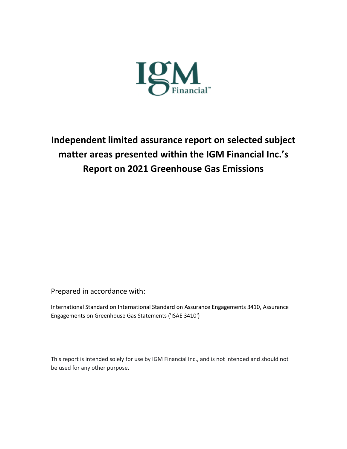

**Independent limited assurance report on selected subject matter areas presented within the IGM Financial Inc.'s Report on 2021 Greenhouse Gas Emissions** 

Prepared in accordance with:

International Standard on International Standard on Assurance Engagements 3410, Assurance Engagements on Greenhouse Gas Statements ('ISAE 3410')

This report is intended solely for use by IGM Financial Inc., and is not intended and should not be used for any other purpose.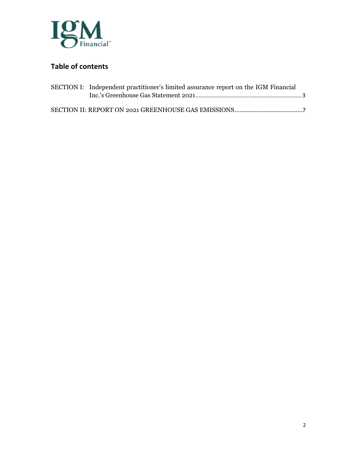

## **Table of contents**

| SECTION I: Independent practitioner's limited assurance report on the IGM Financial |  |
|-------------------------------------------------------------------------------------|--|
|                                                                                     |  |
|                                                                                     |  |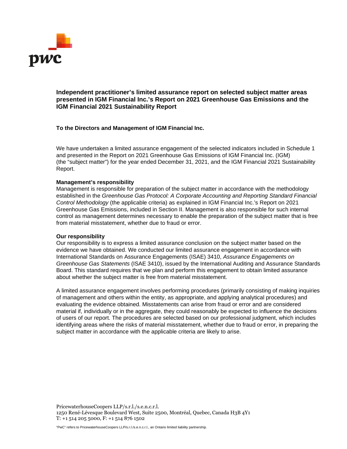

### **Independent practitioner's limited assurance report on selected subject matter areas presented in IGM Financial Inc.'s Report on 2021 Greenhouse Gas Emissions and the IGM Financial 2021 Sustainability Report**

### **To the Directors and Management of IGM Financial Inc.**

We have undertaken a limited assurance engagement of the selected indicators included in Schedule 1 and presented in the Report on 2021 Greenhouse Gas Emissions of IGM Financial Inc. (IGM) (the "subject matter") for the year ended December 31, 2021, and the IGM Financial 2021 Sustainability Report.

### **Management's responsibility**

Management is responsible for preparation of the subject matter in accordance with the methodology established in the *Greenhouse Gas Protocol: A Corporate Accounting and Reporting Standard Financial Control Methodology* (the applicable criteria) as explained in IGM Financial Inc.'s Report on 2021 Greenhouse Gas Emissions, included in Section II. Management is also responsible for such internal control as management determines necessary to enable the preparation of the subject matter that is free from material misstatement, whether due to fraud or error.

### **Our responsibility**

Our responsibility is to express a limited assurance conclusion on the subject matter based on the evidence we have obtained. We conducted our limited assurance engagement in accordance with International Standards on Assurance Engagements (ISAE) 3410, *Assurance Engagements on Greenhouse Gas Statements* (ISAE 3410), issued by the International Auditing and Assurance Standards Board. This standard requires that we plan and perform this engagement to obtain limited assurance about whether the subject matter is free from material misstatement.

A limited assurance engagement involves performing procedures (primarily consisting of making inquiries of management and others within the entity, as appropriate, and applying analytical procedures) and evaluating the evidence obtained. Misstatements can arise from fraud or error and are considered material if, individually or in the aggregate, they could reasonably be expected to influence the decisions of users of our report. The procedures are selected based on our professional judgment, which includes identifying areas where the risks of material misstatement, whether due to fraud or error, in preparing the subject matter in accordance with the applicable criteria are likely to arise.

PricewaterhouseCoopers LLP/s.r.l./s.e.n.c.r.l. 1250 René-Lévesque Boulevard West, Suite 2500, Montréal, Quebec, Canada H3B 4Y1 T: +1 514 205 5000, F: +1 514 876 1502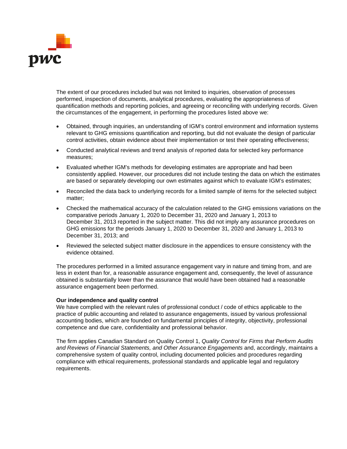

The extent of our procedures included but was not limited to inquiries, observation of processes performed, inspection of documents, analytical procedures, evaluating the appropriateness of quantification methods and reporting policies, and agreeing or reconciling with underlying records. Given the circumstances of the engagement, in performing the procedures listed above we:

- Obtained, through inquiries, an understanding of IGM's control environment and information systems relevant to GHG emissions quantification and reporting, but did not evaluate the design of particular control activities, obtain evidence about their implementation or test their operating effectiveness;
- Conducted analytical reviews and trend analysis of reported data for selected key performance measures;
- Evaluated whether IGM's methods for developing estimates are appropriate and had been consistently applied. However, our procedures did not include testing the data on which the estimates are based or separately developing our own estimates against which to evaluate IGM's estimates;
- Reconciled the data back to underlying records for a limited sample of items for the selected subject matter;
- Checked the mathematical accuracy of the calculation related to the GHG emissions variations on the comparative periods January 1, 2020 to December 31, 2020 and January 1, 2013 to December 31, 2013 reported in the subject matter. This did not imply any assurance procedures on GHG emissions for the periods January 1, 2020 to December 31, 2020 and January 1, 2013 to December 31, 2013; and
- Reviewed the selected subject matter disclosure in the appendices to ensure consistency with the evidence obtained.

The procedures performed in a limited assurance engagement vary in nature and timing from, and are less in extent than for, a reasonable assurance engagement and, consequently, the level of assurance obtained is substantially lower than the assurance that would have been obtained had a reasonable assurance engagement been performed.

### **Our independence and quality control**

We have complied with the relevant rules of professional conduct / code of ethics applicable to the practice of public accounting and related to assurance engagements, issued by various professional accounting bodies, which are founded on fundamental principles of integrity, objectivity, professional competence and due care, confidentiality and professional behavior.

The firm applies Canadian Standard on Quality Control 1, *Quality Control for Firms that Perform Audits and Reviews of Financial Statements, and Other Assurance Engagements* and, accordingly, maintains a comprehensive system of quality control, including documented policies and procedures regarding compliance with ethical requirements, professional standards and applicable legal and regulatory requirements.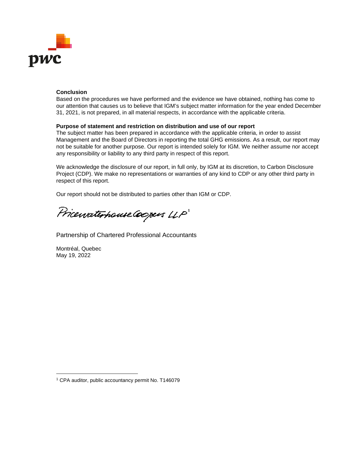

### **Conclusion**

Based on the procedures we have performed and the evidence we have obtained, nothing has come to our attention that causes us to believe that IGM's subject matter information for the year ended December 31, 2021, is not prepared, in all material respects, in accordance with the applicable criteria.

### **Purpose of statement and restriction on distribution and use of our report**

The subject matter has been prepared in accordance with the applicable criteria, in order to assist Management and the Board of Directors in reporting the total GHG emissions. As a result, our report may not be suitable for another purpose. Our report is intended solely for IGM. We neither assume nor accept any responsibility or liability to any third party in respect of this report.

We acknowledge the disclosure of our report, in full only, by IGM at its discretion, to Carbon Disclosure Project (CDP). We make no representations or warranties of any kind to CDP or any other third party in respect of this report.

Our report should not be distributed to parties other than IGM or CDP.

Pricewaterhouse Coopers LLP

Partnership of Chartered Professional Accountants

Montréal, Quebec May 19, 2022

<sup>1</sup> CPA auditor, public accountancy permit No. T146079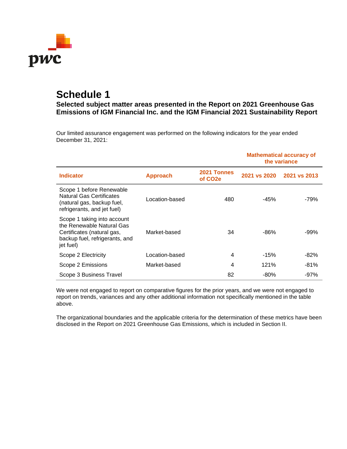

# **Schedule 1**

**Selected subject matter areas presented in the Report on 2021 Greenhouse Gas Emissions of IGM Financial Inc. and the IGM Financial 2021 Sustainability Report** 

Our limited assurance engagement was performed on the following indicators for the year ended December 31, 2021:

|                                                                                                                                       |                 |                                     |              | <b>Mathematical accuracy of</b><br>the variance |
|---------------------------------------------------------------------------------------------------------------------------------------|-----------------|-------------------------------------|--------------|-------------------------------------------------|
| <b>Indicator</b>                                                                                                                      | <b>Approach</b> | 2021 Tonnes<br>of CO <sub>2</sub> e | 2021 vs 2020 | 2021 vs 2013                                    |
| Scope 1 before Renewable<br><b>Natural Gas Certificates</b><br>(natural gas, backup fuel,<br>refrigerants, and jet fuel)              | Location-based  | 480                                 | -45%         | $-79%$                                          |
| Scope 1 taking into account<br>the Renewable Natural Gas<br>Certificates (natural gas,<br>backup fuel, refrigerants, and<br>jet fuel) | Market-based    | 34                                  | -86%         | $-99%$                                          |
| Scope 2 Electricity                                                                                                                   | Location-based  | 4                                   | $-15%$       | $-82%$                                          |
| Scope 2 Emissions                                                                                                                     | Market-based    | 4                                   | 121%         | $-81%$                                          |
| Scope 3 Business Travel                                                                                                               |                 | 82                                  | -80%         | -97%                                            |

We were not engaged to report on comparative figures for the prior years, and we were not engaged to report on trends, variances and any other additional information not specifically mentioned in the table above.

The organizational boundaries and the applicable criteria for the determination of these metrics have been disclosed in the Report on 2021 Greenhouse Gas Emissions, which is included in Section II.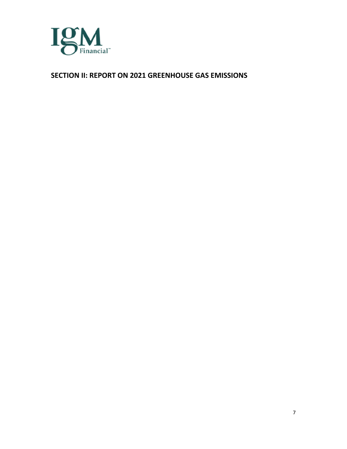

### **SECTION II: REPORT ON 2021 GREENHOUSE GAS EMISSIONS**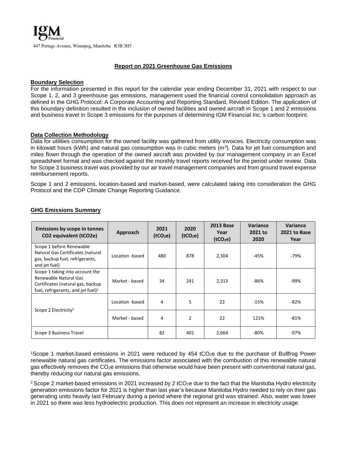### **Report on 2021 Greenhouse Gas Emissions**

### **Boundary Selection**

For the information presented in this report for the calendar year ending December 31, 2021 with respect to our Scope 1, 2, and 3 greenhouse gas emissions, management used the financial control consolidation approach as defined in the GHG Protocol: A Corporate Accounting and Reporting Standard, Revised Edition. The application of this boundary definition resulted in the inclusion of owned facilities and owned aircraft in Scope 1 and 2 emissions and business travel in Scope 3 emissions for the purposes of determining IGM Financial Inc.'s carbon footprint.

### **Data Collection Methodology**

Data for utilities consumption for the owned facility was gathered from utility invoices. Electricity consumption was in kilowatt hours (kWh) and natural gas consumption was in cubic meters  $(m^3)$ . Data for jet fuel consumption and miles flown through the operation of the owned aircraft was provided by our management company in an Excel spreadsheet format and was checked against the monthly travel reports received for the period under review. Data for Scope 3 business travel was provided by our air travel management companies and from ground travel expense reimbursement reports.

Scope 1 and 2 emissions, location-based and market-based, were calculated taking into consideration the GHG Protocol and the CDP Climate Change Reporting Guidance.

| <b>Emissions by scope in tonnes</b><br>CO2 equivalent (tCO2e)                                                                          | Approach        | 2021<br>(tCO <sub>2</sub> e) | 2020<br>(tCO <sub>2</sub> e) | <b>2013 Base</b><br>Year<br>(tCO <sub>2</sub> e) | Variance<br>2021 to<br>2020 | <b>Variance</b><br>2021 to Base<br>Year |
|----------------------------------------------------------------------------------------------------------------------------------------|-----------------|------------------------------|------------------------------|--------------------------------------------------|-----------------------------|-----------------------------------------|
| Scope 1 before Renewable<br>Natural Gas Certificates (natural<br>gas, backup fuel, refrigerants,<br>and jet fuel)                      | Location -based | 480                          | 878                          | 2,304                                            | $-45%$                      | -79%                                    |
| Scope 1 taking into account the<br>Renewable Natural Gas<br>Certificates (natural gas, backup<br>fuel, refrigerants, and jet fuel) $1$ | Market - based  | 34                           | 241                          | 2,313                                            | -86%                        | -99%                                    |
|                                                                                                                                        | Location -based | 4                            | 5                            | 22                                               | $-15%$                      | -82%                                    |
| Scope 2 Electricity <sup>2</sup>                                                                                                       | Market - based  | 4                            | $\overline{2}$               | 22                                               | 121%                        | $-81%$                                  |
| Scope 3 Business Travel                                                                                                                |                 | 82                           | 401                          | 2,664                                            | -80%                        | -97%                                    |

### **GHG Emissions Summary**

<sup>1</sup>Scope 1 market-based emissions in 2021 were reduced by 454 tCO<sub>2</sub>e due to the purchase of Bullfrog Power renewable natural gas certificates. The emissions factor associated with the combustion of this renewable natural gas effectively removes the CO<sub>2</sub>e emissions that otherwise would have been present with conventional natural gas, thereby reducing our natural gas emissions.

<sup>2</sup> Scope 2 market-based emissions in 2021 increased by 2 tCO<sub>2</sub>e due to the fact that the Manitoba Hydro electricity generation emissions factor for 2021 is higher than last year's because Manitoba Hydro needed to rely on their gas generating units heavily last February during a period where the regional grid was strained. Also, water was lower in 2021 so there was less hydroelectric production. This does not represent an increase in electricity usage.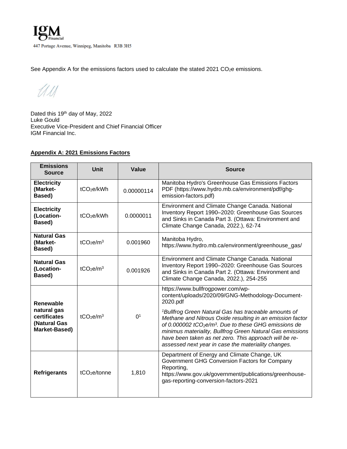See Appendix A for the emissions factors used to calculate the stated 2021 CO<sub>2</sub>e emissions.

UU

Dated this 19<sup>th</sup> day of May, 2022 Luke Gould Executive Vice-President and Chief Financial Officer IGM Financial Inc.

### **Appendix A: 2021 Emissions Factors**

| <b>Emissions</b><br><b>Source</b>                                         | <b>Unit</b>                       | <b>Value</b>                                                                                                  | <b>Source</b>                                                                                                                                                                                                                                                                                                                                                |
|---------------------------------------------------------------------------|-----------------------------------|---------------------------------------------------------------------------------------------------------------|--------------------------------------------------------------------------------------------------------------------------------------------------------------------------------------------------------------------------------------------------------------------------------------------------------------------------------------------------------------|
| <b>Electricity</b><br>(Market-<br>Based)                                  | tCO <sub>2</sub> e/kWh            | 0.00000114                                                                                                    | Manitoba Hydro's Greenhouse Gas Emissions Factors<br>PDF (https://www.hydro.mb.ca/environment/pdf/ghg-<br>emission-factors.pdf)                                                                                                                                                                                                                              |
| <b>Electricity</b><br>(Location-<br>Based)                                | tCO <sub>2</sub> e/kWh            | 0.0000011                                                                                                     | Environment and Climate Change Canada. National<br>Inventory Report 1990-2020: Greenhouse Gas Sources<br>and Sinks in Canada Part 3. (Ottawa: Environment and<br>Climate Change Canada, 2022.), 62-74                                                                                                                                                        |
| <b>Natural Gas</b><br>(Market-<br>Based)                                  | tCO <sub>2</sub> e/m <sup>3</sup> | 0.001960                                                                                                      | Manitoba Hydro,<br>https://www.hydro.mb.ca/environment/greenhouse_gas/                                                                                                                                                                                                                                                                                       |
| <b>Natural Gas</b><br>(Location-<br>Based)                                | tCO <sub>2</sub> e/m <sup>3</sup> | 0.001926                                                                                                      | Environment and Climate Change Canada. National<br>Inventory Report 1990-2020: Greenhouse Gas Sources<br>and Sinks in Canada Part 2. (Ottawa: Environment and<br>Climate Change Canada, 2022.), 254-255                                                                                                                                                      |
| Renewable<br>natural gas<br>certificates<br>(Natural Gas<br>Market-Based) | tCO <sub>2</sub> $e/m3$           | 0 <sup>1</sup>                                                                                                | https://www.bullfrogpower.com/wp-<br>content/uploads/2020/09/GNG-Methodology-Document-<br>2020.pdf<br><sup>1</sup> Bullfrog Green Natural Gas has traceable amounts of<br>Methane and Nitrous Oxide resulting in an emission factor<br>of 0.000002 $tCO_2e/m^3$ . Due to these GHG emissions de<br>minimus materiality, Bullfrog Green Natural Gas emissions |
|                                                                           |                                   | have been taken as net zero. This approach will be re-<br>assessed next year in case the materiality changes. |                                                                                                                                                                                                                                                                                                                                                              |
| <b>Refrigerants</b>                                                       | tCO <sub>2</sub> e/tonne          | 1,810                                                                                                         | Department of Energy and Climate Change, UK<br>Government GHG Conversion Factors for Company<br>Reporting,<br>https://www.gov.uk/government/publications/greenhouse-<br>gas-reporting-conversion-factors-2021                                                                                                                                                |